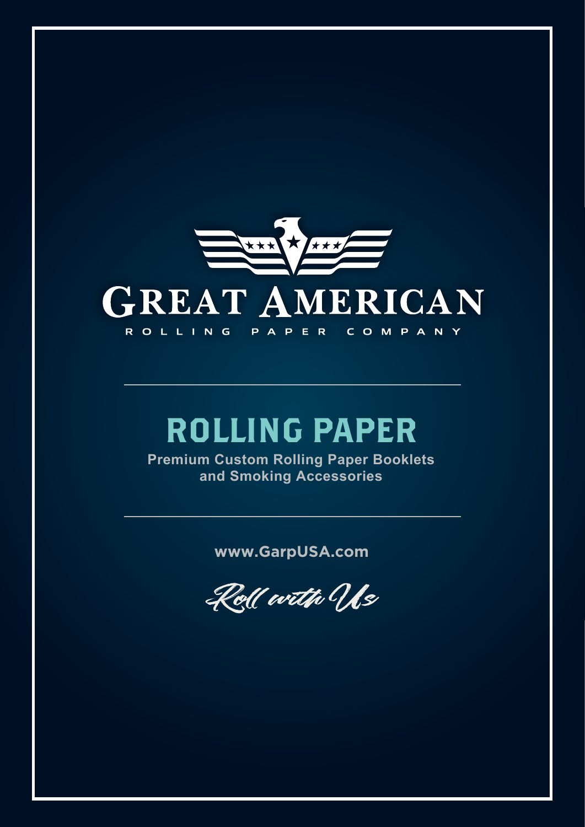

# ROLLING PAPER

**Premium Custom Rolling Paper Booklets and Smoking Accessories**

**www.GarpUSA.com**

Roll with Us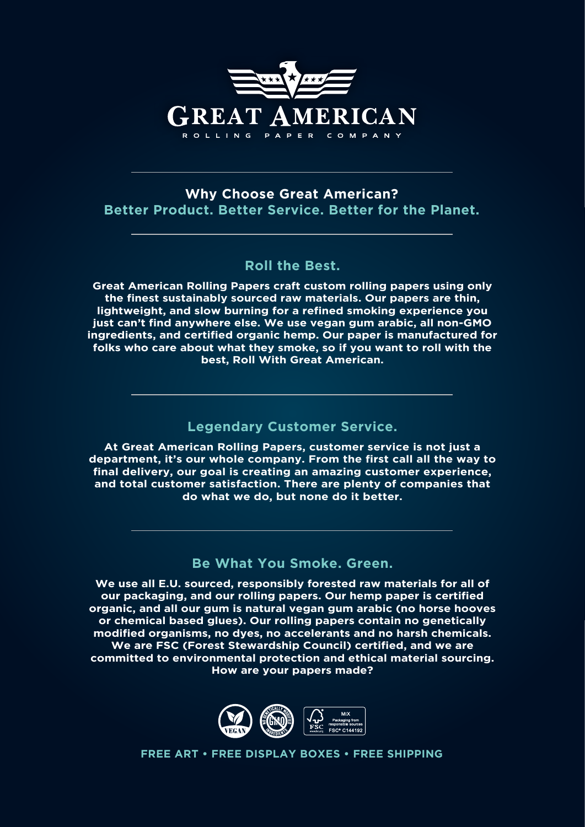

### **Why Choose Great American? Better Product. Better Service. Better for the Planet.**

### **Roll the Best.**

**Great American Rolling Papers craft custom rolling papers using only the finest sustainably sourced raw materials. Our papers are thin, lightweight, and slow burning for a refined smoking experience you just can't find anywhere else. We use vegan gum arabic, all non-GMO ingredients, and certified organic hemp. Our paper is manufactured for folks who care about what they smoke, so if you want to roll with the best, Roll With Great American.**

### **Legendary Customer Service.**

**At Great American Rolling Papers, customer service is not just a department, it's our whole company. From the first call all the way to final delivery, our goal is creating an amazing customer experience, and total customer satisfaction. There are plenty of companies that do what we do, but none do it better.**

### **Be What You Smoke. Green.**

**We use all E.U. sourced, responsibly forested raw materials for all of our packaging, and our rolling papers. Our hemp paper is certified organic, and all our gum is natural vegan gum arabic (no horse hooves or chemical based glues). Our rolling papers contain no genetically modified organisms, no dyes, no accelerants and no harsh chemicals. We are FSC (Forest Stewardship Council) certified, and we are committed to environmental protection and ethical material sourcing. How are your papers made?**



**FREE ART • FREE DISPLAY BOXES • FREE SHIPPING**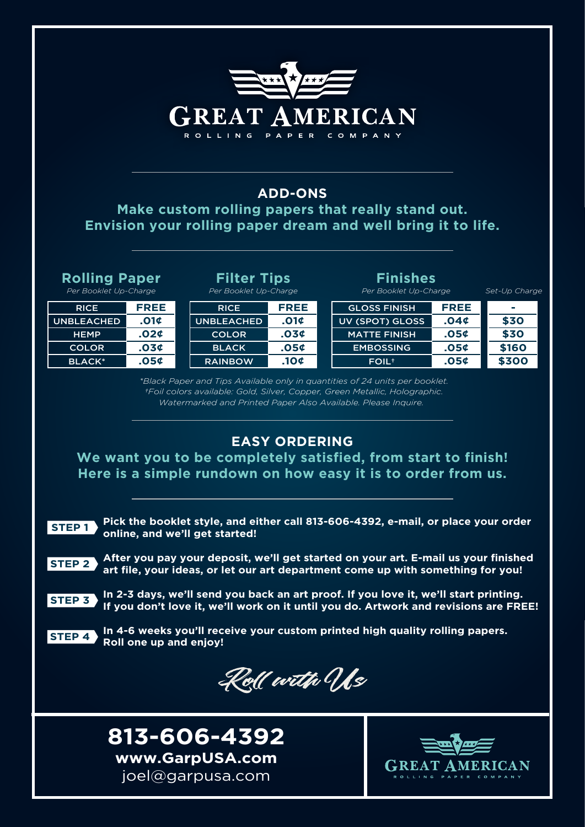| <b>GREAT AMERICAN</b><br><b>ROLLING</b><br>PAPER<br>COMPANY<br><b>ADD-ONS</b><br>Make custom rolling papers that really stand out.<br>Envision your rolling paper dream and well bring it to life.                     |                                                                                                                                                                       |                  |  |                          |      |                |
|------------------------------------------------------------------------------------------------------------------------------------------------------------------------------------------------------------------------|-----------------------------------------------------------------------------------------------------------------------------------------------------------------------|------------------|--|--------------------------|------|----------------|
|                                                                                                                                                                                                                        |                                                                                                                                                                       |                  |  |                          |      |                |
| <b>Rolling Paper</b>                                                                                                                                                                                                   | <b>Filter Tips</b>                                                                                                                                                    |                  |  | <b>Finishes</b>          |      |                |
| Per Booklet Up-Charge                                                                                                                                                                                                  | Per Booklet Up-Charge                                                                                                                                                 |                  |  | Per Booklet Up-Charge    |      | Set-Up Charge  |
| FREE<br><b>RICE</b>                                                                                                                                                                                                    | <b>RICE</b>                                                                                                                                                           | <b>FREE</b>      |  | <b>GLOSS FINISH</b>      | FREE | -              |
| .01 <sub>¢</sub><br><b>UNBLEACHED</b>                                                                                                                                                                                  | <b>UNBLEACHED</b>                                                                                                                                                     | .01 <sub>0</sub> |  | <b>UV (SPOT) GLOSS</b>   | .04¢ | \$30           |
| .024<br><b>HEMP</b>                                                                                                                                                                                                    | <b>COLOR</b>                                                                                                                                                          | .034             |  | <b>MATTE FINISH</b>      | .05¢ | \$30           |
| .034<br><b>COLOR</b>                                                                                                                                                                                                   | <b>BLACK</b>                                                                                                                                                          | .054             |  | <b>EMBOSSING</b>         | .05¢ | \$160          |
| .054<br><b>BLACK*</b>                                                                                                                                                                                                  | <b>RAINBOW</b>                                                                                                                                                        | .104             |  | <b>FOIL</b> <sup>+</sup> | .05¢ | \$300          |
| Watermarked and Printed Paper Also Available. Please Inquire.<br><b>EASY ORDERING</b><br>We want you to be completely satisfied, from start to finish!<br>Here is a simple rundown on how easy it is to order from us. |                                                                                                                                                                       |                  |  |                          |      |                |
| Pick the booklet style, and either call 813-606-4392, e-mail, or place your order<br><b>STEP1</b><br>online, and we'll get started!                                                                                    |                                                                                                                                                                       |                  |  |                          |      |                |
| <b>STEP 2</b>                                                                                                                                                                                                          | After you pay your deposit, we'll get started on your art. E-mail us your finished<br>art file, your ideas, or let our art department come up with something for you! |                  |  |                          |      |                |
| In 2-3 days, we'll send you back an art proof. If you love it, we'll start printing.<br><b>STEP 3</b><br>If you don't love it, we'll work on it until you do. Artwork and revisions are FREE!                          |                                                                                                                                                                       |                  |  |                          |      |                |
| In 4-6 weeks you'll receive your custom printed high quality rolling papers.<br><b>STEP 4</b><br>Roll one up and enjoy!                                                                                                |                                                                                                                                                                       |                  |  |                          |      |                |
| Koll with Us                                                                                                                                                                                                           |                                                                                                                                                                       |                  |  |                          |      |                |
| 813-606-4392                                                                                                                                                                                                           |                                                                                                                                                                       |                  |  |                          |      |                |
| www.GarpUSA.com                                                                                                                                                                                                        |                                                                                                                                                                       |                  |  |                          |      |                |
|                                                                                                                                                                                                                        |                                                                                                                                                                       |                  |  |                          |      | <b>MERICAN</b> |
| joel@garpusa.com                                                                                                                                                                                                       |                                                                                                                                                                       |                  |  |                          |      |                |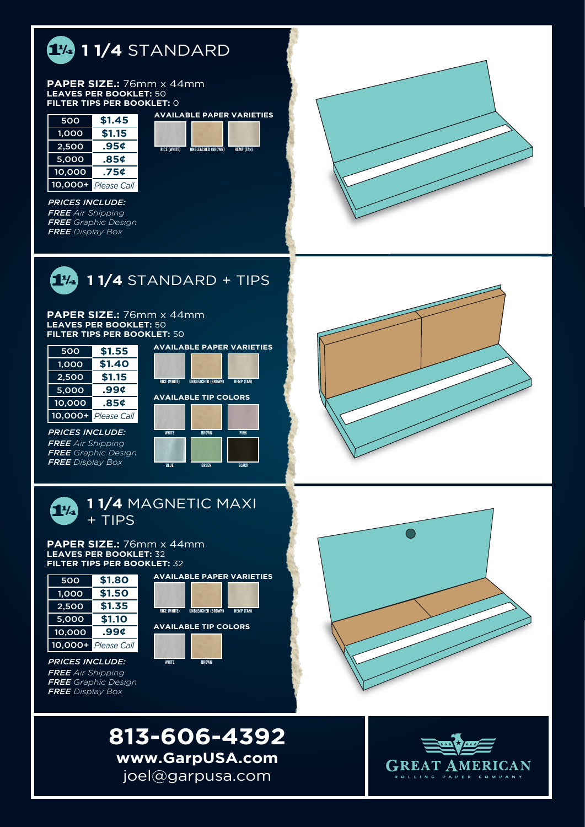

#### **PAPER SIZE.:** 76mm x 44mm **LEAVES PER BOOKLET:** 50 **FILTER TIPS PER BOOKLET:** 0

| 500     | \$1.45             |
|---------|--------------------|
| 1,000   | \$1.15             |
| 2,500   | .95¢               |
| 5,000   | .85¢               |
| 10,000  | .75¢               |
| 10,000+ | <b>Please Call</b> |

**\$1.45 AVAILABLE PAPER VARIETIES** RICE (WHITE) UNBLEACHED (BROWN) HEMP (TAN)

*PRICES INCLUDE: FREE Air Shipping FREE Graphic Design FREE Display Box*



 **1 1/4** STANDARD + TIPS

#### **PAPER SIZE.:** 76mm x 44mm **LEAVES PER BOOKLET:** 50 **FILTER TIPS PER BOOKLET:** 50



*PRICES INCLUDE: FREE Air Shipping FREE Graphic Design FREE Display Box*



BLUE GREEN BLACK



# **1 1/4** MAGNETIC MAXI + TIPS

#### **PAPER SIZE.:** 76mm x 44mm **LEAVES PER BOOKLET:** 32 **FILTER TIPS PER BOOKLET:** 32



*PRICES INCLUDE: FREE Air Shipping FREE Graphic Design FREE Display Box*







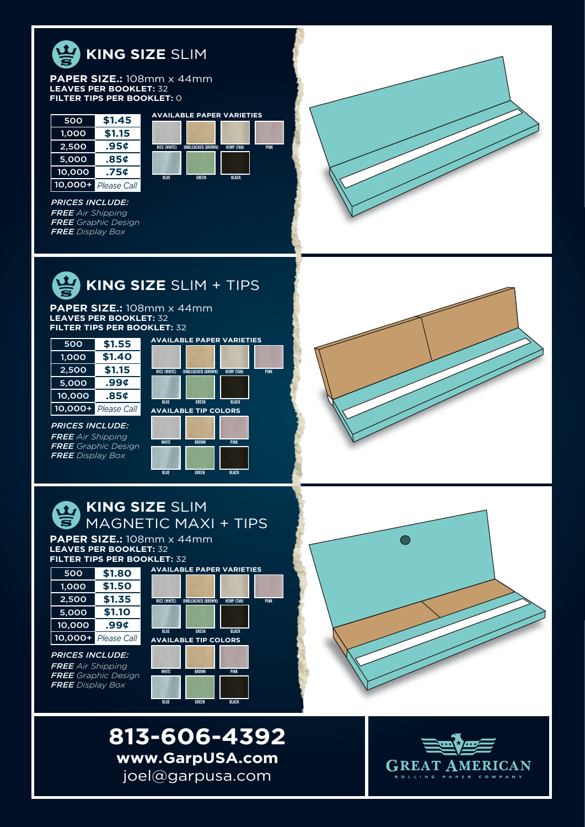

#### **PAPER SIZE.:** 108mm x 44mm **LEAVES PER BOOKLET:** 32 **FILTER TIPS PER BOOKLET:** 0

| 500          | \$1.45             |
|--------------|--------------------|
| <u>1,000</u> | \$1.15             |
| 2,500        | .95¢               |
| 5,000        | .85¢               |
| 10,000       | .75¢               |
| $10,000+$    | <b>Please Call</b> |

*PRICES INCLUDE: FREE Air Shipping FREE Graphic Design FREE Display Box*





**PAPER SIZE.:** 108mm x 44mm **LEAVES PER BOOKLET:** 32 **FILTER TIPS PER BOOKLET:** 32

| 500       | \$1.55             |
|-----------|--------------------|
| 1,000     | \$1.40             |
| 2,500     | \$1.15             |
| 5,000     | .99¢               |
| 10,000    | .85¢               |
| $10,000+$ | <b>Please Call</b> |

**AVAILABLE TIP COLORS** WHITE BROWN PINK RICE (WHITE) UNBLEACHED (BROWN) HEMP (TAN) BLUE GREEN BLACK

**AVAILABLE PAPER VARIETIES**

**AVAILABLE PAPER VARIETIES**

BLUE GREEN BLACK

**HEMP (TAN** 

PINK

PINK



*FREE Air Shipping FREE Graphic Design FREE Display Box*

*PRICES INCLUDE:*





**PAPER SIZE.:** 108mm x 44mm **LEAVES PER BOOKLET:** 32 **FILTER TIPS PER BOOKLET:** 32

| 500       | \$1.80             |
|-----------|--------------------|
| 1,000     | \$1.50             |
| 2,500     | \$1.35             |
| 5.000     | \$1.10             |
| 10,000    | .99¢               |
| $10,000+$ | <b>Please Call</b> |

*PRICES INCLUDE: FREE Air Shipping FREE Graphic Design FREE Display Box*





**813-606-4392 www.GarpUSA.com** joel@garpusa.com

BLUE GREEN BLACK

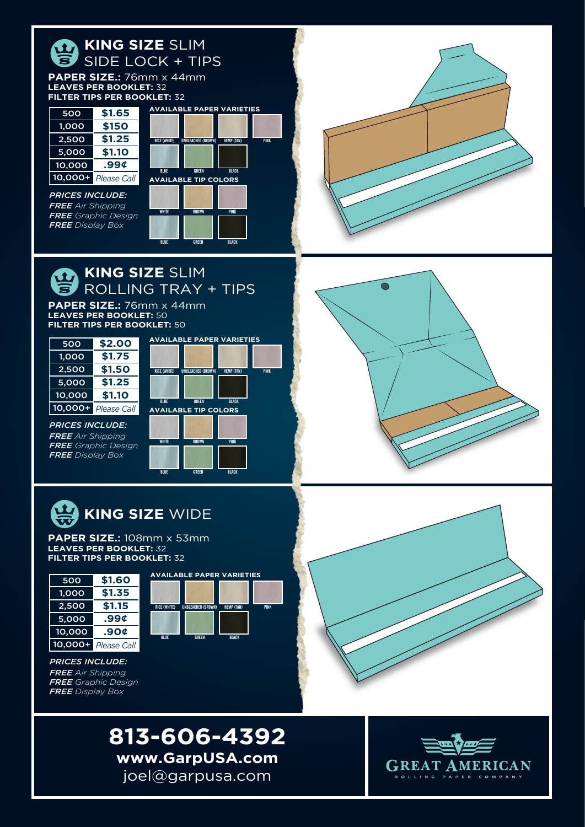



![](_page_5_Picture_2.jpeg)

![](_page_5_Picture_3.jpeg)

*PRICES INCLUDE: FREE Air Shipping FREE Graphic Design FREE Display Box*

![](_page_5_Picture_6.jpeg)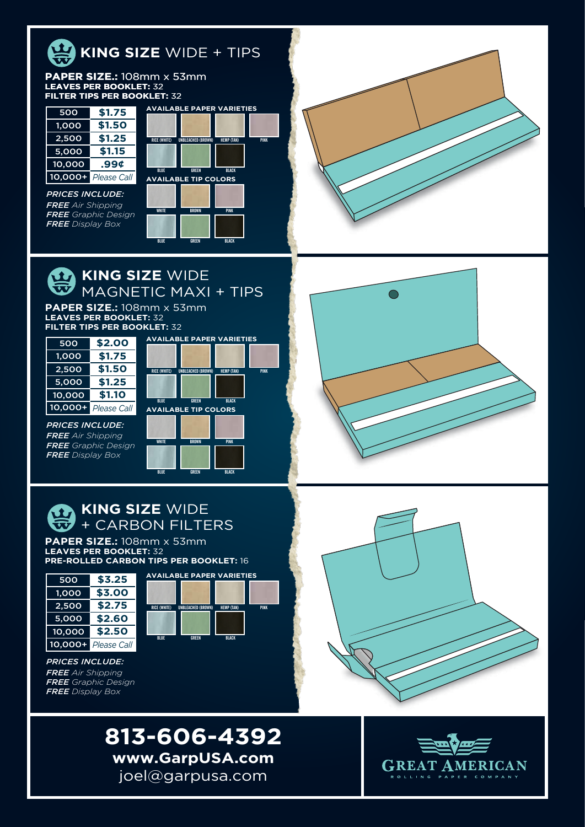![](_page_6_Picture_0.jpeg)

### **PAPER SIZE.:** 108mm x 53mm **LEAVES PER BOOKLET:** 32 **PER BOOKLET:** 32 **FILTER TIPS PER BOOKLET:** 32

| 500          | \$1.75             |
|--------------|--------------------|
| <u>1,000</u> | \$1.50             |
| 2.500        | \$1.25             |
| 5,000        | \$1.15             |
| 10,000       | .99¢               |
| 10,000+      | <b>Please Call</b> |

*PRICES INCLUDE: FREE Air Shipping FREE Graphic Design FREE Display Box*

![](_page_6_Figure_4.jpeg)

# **KING SIZE WIDE** MAGNETIC MAXI + TIPS

**PAPER SIZE.:** 108mm x 53mm **LEAVES PER BOOKLET:** 32 **FILTER TIPS PER BOOKLET:** 32

![](_page_6_Picture_7.jpeg)

*PRICES INCLUDE: FREE Air Shipping FREE Graphic Design FREE Display Box*

![](_page_6_Picture_8.jpeg)

PINK

BLUE GREEN BLACK

![](_page_6_Picture_9.jpeg)

## **TA KING SIZE WIDE**  $\overline{\mathbf{\mathcal{W}}}$  + CARBON FILTERS

**PAPER SIZE.:** 108mm x 53mm **LEAVES PER BOOKLET:** 32 **PRE-ROLLED CARBON TIPS PER BOOKLET:** 16

![](_page_6_Picture_12.jpeg)

*PRICES INCLUDE: FREE Air Shipping FREE Graphic Design FREE Display Box*

![](_page_6_Picture_13.jpeg)

![](_page_6_Picture_14.jpeg)

![](_page_6_Picture_16.jpeg)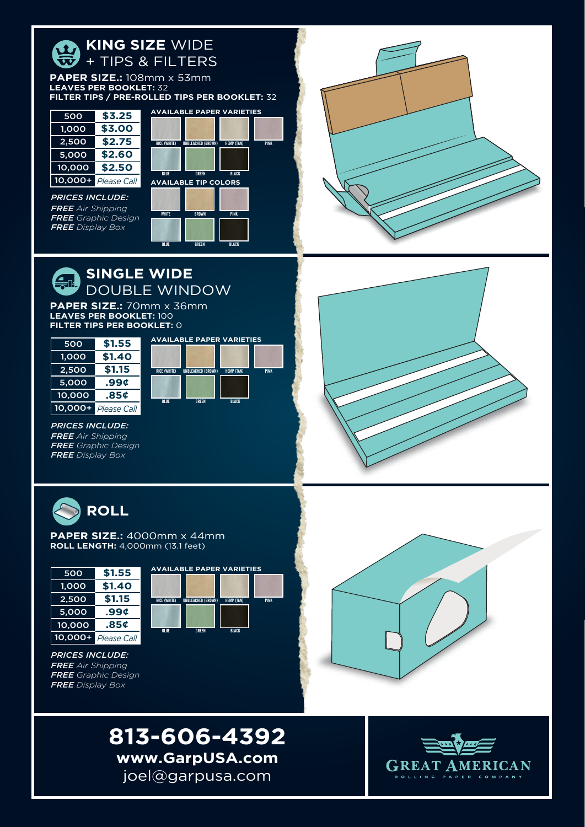![](_page_7_Figure_0.jpeg)

![](_page_7_Picture_1.jpeg)

*PRICES INCLUDE: FREE Air Shipping FREE Graphic Design FREE Display Box*

![](_page_7_Figure_3.jpeg)

PINK

### **SINGLE WIDE** DOUBLE WINDOW

**PAPER SIZE.:** 70mm x 36mm **LEAVES PER BOOKLET:** 100 **FILTER TIPS PER BOOKLET:** 0

| 500     | \$1.55             | <b>AVAILABLE PAPER VARIETIES</b>                               |             |
|---------|--------------------|----------------------------------------------------------------|-------------|
| 1.000   | \$1.40             |                                                                |             |
| 2,500   | \$1.15             | <b>RICE (WHITE)</b><br>UNBLEACHED (BROWN)<br><b>HEMP (TAN)</b> | <b>PINK</b> |
| 5,000   | .99 <sub>0</sub>   |                                                                |             |
| 10.000  | .85¢               | <b>BLUE</b><br><b>BLACK</b><br><b>GREEN</b>                    |             |
| 10.000+ | <b>Please Call</b> |                                                                |             |

*PRICES INCLUDE: FREE Air Shipping FREE Graphic Design FREE Display Box*

![](_page_7_Picture_8.jpeg)

![](_page_7_Picture_9.jpeg)

**PAPER SIZE.:** 4000mm x 44mm **ROLL LENGTH:** 4,000mm (13.1 feet)

| 500            | \$1.55             |
|----------------|--------------------|
| 1,000          | \$1.40             |
| 2,500          | \$1.15             |
| 5,000          | .99¢               |
| 10,000         | .85¢               |
| <u>10,000+</u> | <b>Please Call</b> |

![](_page_7_Figure_12.jpeg)

![](_page_7_Picture_13.jpeg)

![](_page_7_Picture_14.jpeg)

![](_page_7_Picture_16.jpeg)